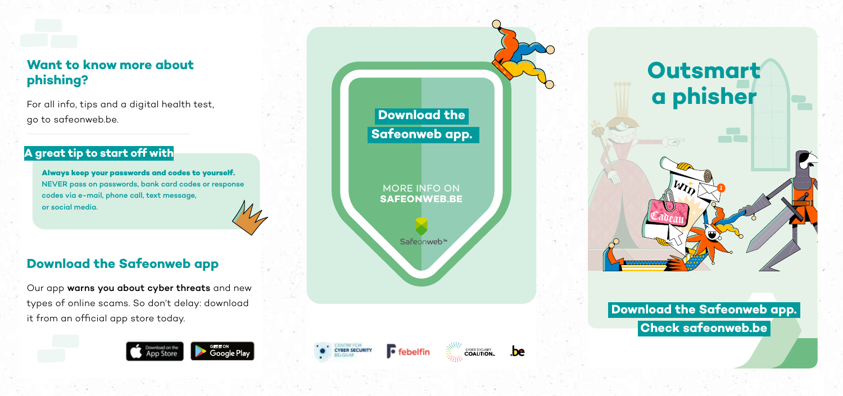For all info, tips and a digital health test, go to safeonweb.be.

### **A great tip to start off with**

**Always keep your passwords and codes to yourself.** NEVER pass on passwords, bank card codes or response codes via e-mail, phone call, text message, or social media.

# **Download the Safeonweb app**

Our app warns you about cyber threats and new types of online scams. So don't delay: download it from an official app store today.